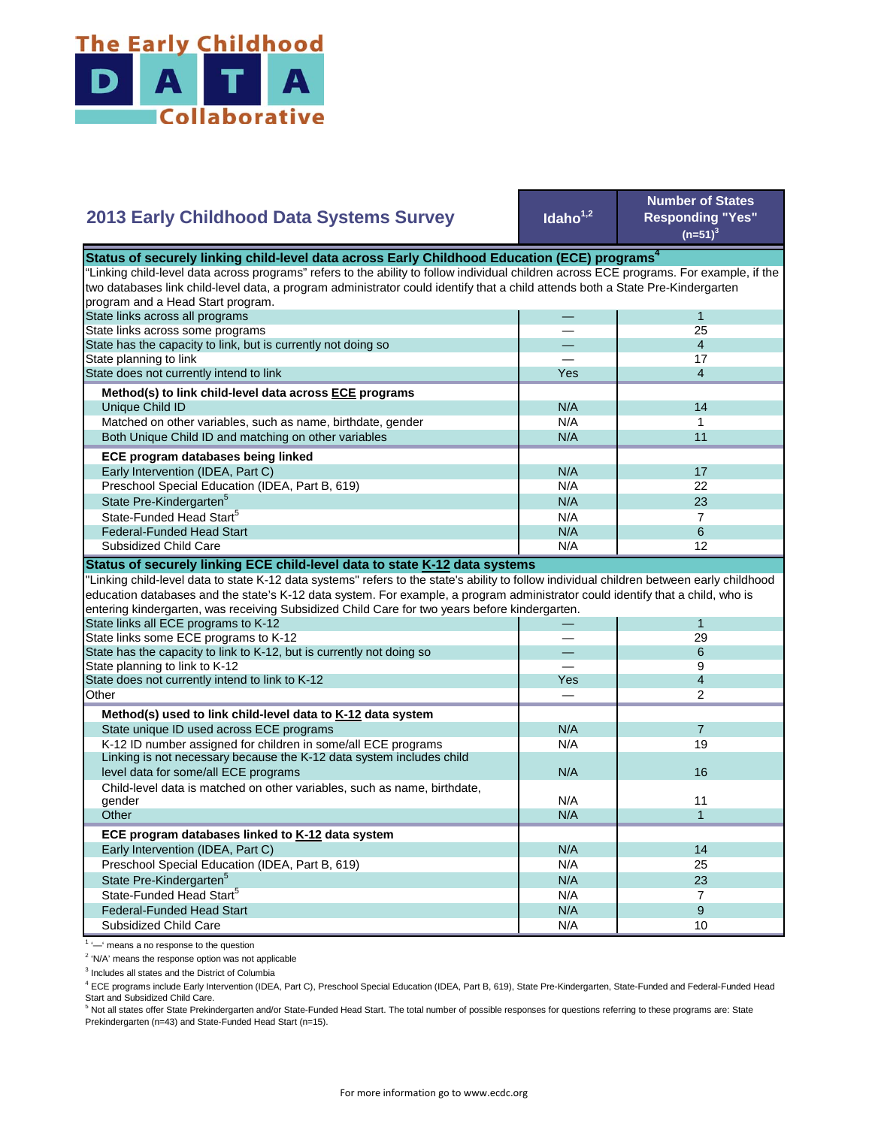

| 2013 Early Childhood Data Systems Survey                                                                                                  | Idaho <sup>1,2</sup> | <b>Number of States</b><br><b>Responding "Yes"</b><br>$(n=51)^3$ |
|-------------------------------------------------------------------------------------------------------------------------------------------|----------------------|------------------------------------------------------------------|
| Status of securely linking child-level data across Early Childhood Education (ECE) programs <sup>4</sup>                                  |                      |                                                                  |
| "Linking child-level data across programs" refers to the ability to follow individual children across ECE programs. For example, if the   |                      |                                                                  |
| two databases link child-level data, a program administrator could identify that a child attends both a State Pre-Kindergarten            |                      |                                                                  |
| program and a Head Start program.                                                                                                         |                      |                                                                  |
| State links across all programs                                                                                                           |                      | $\mathbf{1}$                                                     |
| State links across some programs                                                                                                          |                      | 25                                                               |
| State has the capacity to link, but is currently not doing so                                                                             |                      | $\overline{4}$                                                   |
| State planning to link                                                                                                                    |                      | 17                                                               |
| State does not currently intend to link                                                                                                   | Yes                  | $\overline{\mathbf{4}}$                                          |
| Method(s) to link child-level data across ECE programs                                                                                    |                      |                                                                  |
| Unique Child ID                                                                                                                           | N/A                  | 14                                                               |
| Matched on other variables, such as name, birthdate, gender                                                                               | N/A                  | 1                                                                |
| Both Unique Child ID and matching on other variables                                                                                      | N/A                  | 11                                                               |
|                                                                                                                                           |                      |                                                                  |
| ECE program databases being linked                                                                                                        |                      |                                                                  |
| Early Intervention (IDEA, Part C)                                                                                                         | N/A                  | 17                                                               |
| Preschool Special Education (IDEA, Part B, 619)                                                                                           | N/A                  | 22                                                               |
| State Pre-Kindergarten <sup>5</sup>                                                                                                       | N/A                  | 23                                                               |
| State-Funded Head Start <sup>5</sup>                                                                                                      | N/A                  | $\overline{7}$                                                   |
| <b>Federal-Funded Head Start</b>                                                                                                          | N/A                  | 6                                                                |
| Subsidized Child Care                                                                                                                     | N/A                  | 12                                                               |
| Status of securely linking ECE child-level data to state K-12 data systems                                                                |                      |                                                                  |
| 'Linking child-level data to state K-12 data systems" refers to the state's ability to follow individual children between early childhood |                      |                                                                  |
| education databases and the state's K-12 data system. For example, a program administrator could identify that a child, who is            |                      |                                                                  |
| entering kindergarten, was receiving Subsidized Child Care for two years before kindergarten.                                             |                      |                                                                  |
| State links all ECE programs to K-12                                                                                                      |                      | 1                                                                |
| State links some ECE programs to K-12                                                                                                     |                      | 29                                                               |
| State has the capacity to link to K-12, but is currently not doing so                                                                     |                      | 6                                                                |
| State planning to link to K-12                                                                                                            |                      | 9                                                                |
| State does not currently intend to link to K-12                                                                                           | Yes                  | $\overline{4}$                                                   |
| Other                                                                                                                                     |                      | 2                                                                |
|                                                                                                                                           |                      |                                                                  |
| Method(s) used to link child-level data to K-12 data system                                                                               |                      |                                                                  |
| State unique ID used across ECE programs                                                                                                  | N/A                  | $\overline{7}$                                                   |
| K-12 ID number assigned for children in some/all ECE programs                                                                             | N/A                  | 19                                                               |
| Linking is not necessary because the K-12 data system includes child                                                                      | N/A                  | 16                                                               |
| level data for some/all ECE programs                                                                                                      |                      |                                                                  |
| Child-level data is matched on other variables, such as name, birthdate,                                                                  |                      | 11                                                               |
| gender                                                                                                                                    | N/A                  |                                                                  |
| Other                                                                                                                                     | N/A                  | $\mathbf{1}$                                                     |
| ECE program databases linked to K-12 data system                                                                                          |                      |                                                                  |
| Early Intervention (IDEA, Part C)                                                                                                         | N/A                  | 14                                                               |
| Preschool Special Education (IDEA, Part B, 619)                                                                                           | N/A                  | 25                                                               |
| State Pre-Kindergarten <sup>5</sup>                                                                                                       | N/A                  | 23                                                               |
| State-Funded Head Start <sup>5</sup>                                                                                                      | N/A                  | $\overline{7}$                                                   |
| <b>Federal-Funded Head Start</b>                                                                                                          | N/A                  | 9                                                                |
| Subsidized Child Care                                                                                                                     | N/A                  | 10                                                               |
|                                                                                                                                           |                      |                                                                  |

<sup>1</sup> '-' means a no response to the question

<sup>2</sup> 'N/A' means the response option was not applicable

<sup>3</sup> Includes all states and the District of Columbia

<sup>4</sup> ECE programs include Early Intervention (IDEA, Part C), Preschool Special Education (IDEA, Part B, 619), State Pre-Kindergarten, State-Funded and Federal-Funded Head

Start and Subsidized Child Care.<br><sup>5</sup> Not all states offer State Prekindergarten and/or State-Funded Head Start. The total number of possible responses for questions referring to these programs are: State Prekindergarten (n=43) and State-Funded Head Start (n=15).